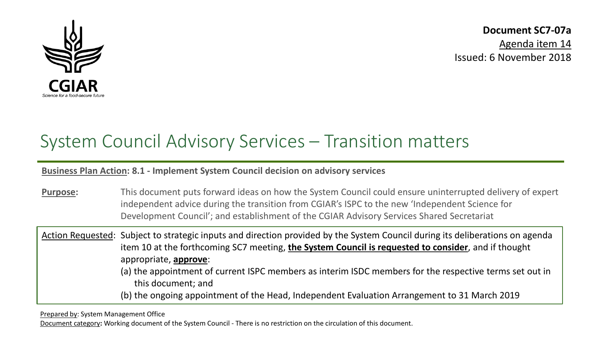

**Document SC7-07a**

Agenda item 14 Issued: 6 November 2018

# System Council Advisory Services – Transition matters

**Business Plan Action: 8.1 - Implement System Council decision on advisory services**

**Purpose:** This document puts forward ideas on how the System Council could ensure uninterrupted delivery of expert independent advice during the transition from CGIAR's ISPC to the new 'Independent Science for Development Council'; and establishment of the CGIAR Advisory Services Shared Secretariat

Action Requested: Subject to strategic inputs and direction provided by the System Council during its deliberations on agenda item 10 at the forthcoming SC7 meeting, **the System Council is requested to consider**, and if thought appropriate, **approve**: (a) the appointment of current ISPC members as interim ISDC members for the respective terms set out in this document; and (b) the ongoing appointment of the Head, Independent Evaluation Arrangement to 31 March 2019

Prepared by: System Management Office

Document category**:** Working document of the System Council - There is no restriction on the circulation of this document.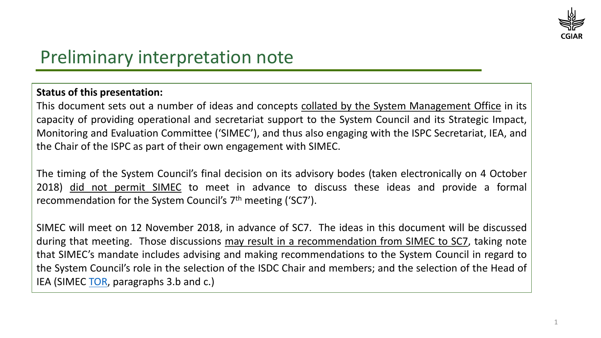

# Preliminary interpretation note

#### **Status of this presentation:**

This document sets out a number of ideas and concepts collated by the System Management Office in its capacity of providing operational and secretariat support to the System Council and its Strategic Impact, Monitoring and Evaluation Committee ('SIMEC'), and thus also engaging with the ISPC Secretariat, IEA, and the Chair of the ISPC as part of their own engagement with SIMEC.

The timing of the System Council's final decision on its advisory bodes (taken electronically on 4 October 2018) did not permit SIMEC to meet in advance to discuss these ideas and provide a formal recommendation for the System Council's 7th meeting ('SC7').

SIMEC will meet on 12 November 2018, in advance of SC7. The ideas in this document will be discussed during that meeting. Those discussions may result in a recommendation from SIMEC to SC7, taking note that SIMEC's mandate includes advising and making recommendations to the System Council in regard to the System Council's role in the selection of the ISDC Chair and members; and the selection of the Head of IEA (SIMEC [TOR,](https://www.cgiar.org/wp/wp-content/uploads/2017/06/TOR-SC_SIMEC_11May2017.pdf) paragraphs 3.b and c.)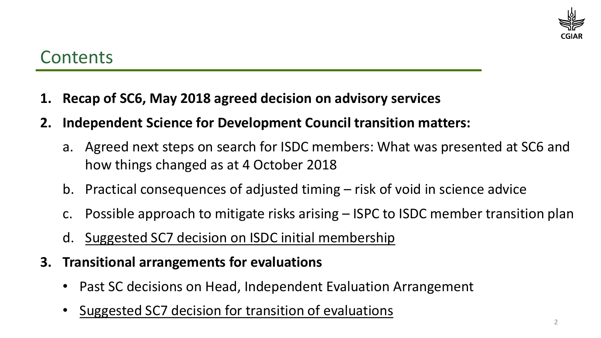

## **Contents**

- **1. Recap of SC6, May 2018 agreed decision on advisory services**
- **2. Independent Science for Development Council transition matters:**
	- a. Agreed next steps on search for ISDC members: What was presented at SC6 and how things changed as at 4 October 2018
	- b. Practical consequences of adjusted timing risk of void in science advice
	- c. Possible approach to mitigate risks arising ISPC to ISDC member transition plan
	- d. Suggested SC7 decision on ISDC initial membership
- **3. Transitional arrangements for evaluations**
	- Past SC decisions on Head, Independent Evaluation Arrangement
	- Suggested SC7 decision for transition of evaluations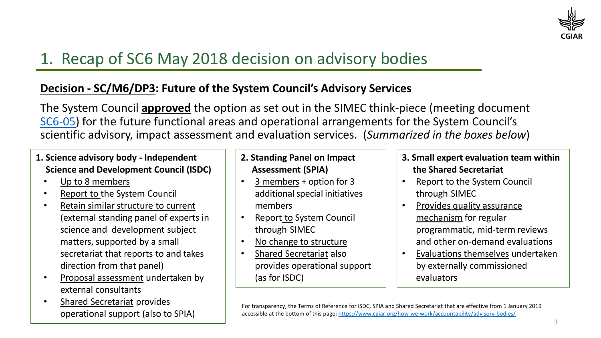

# 1. Recap of SC6 May 2018 decision on advisory bodies

#### **Decision - SC/M6/DP3: Future of the System Council's Advisory Services**

The System Council **approved** the option as set out in the SIMEC think-piece (meeting document [SC6-05\)](https://www.cgiar.org/wp/wp-content/uploads/2018/05/SC6-05_SIMEC_ThinkPiece_SC-AdvisoryBodies.pdf) for the future functional areas and operational arrangements for the System Council's scientific advisory, impact assessment and evaluation services. (*Summarized in the boxes below*)

#### **1. Science advisory body - Independent Science and Development Council (ISDC)**

- Up to 8 members
- Report to the System Council
- Retain similar structure to current (external standing panel of experts in science and development subject matters, supported by a small secretariat that reports to and takes direction from that panel)
- Proposal assessment undertaken by external consultants
- Shared Secretariat provides operational support (also to SPIA)

#### **2. Standing Panel on Impact Assessment (SPIA)**

- 3 members + option for 3 additional special initiatives members
- Report to System Council through SIMEC
- No change to structure
- Shared Secretariat also provides operational support (as for ISDC)
- **3. Small expert evaluation team within the Shared Secretariat**
- Report to the System Council through SIMEC
- Provides quality assurance mechanism for regular programmatic, mid-term reviews and other on-demand evaluations
- Evaluations themselves undertaken by externally commissioned evaluators

For transparency, the Terms of Reference for ISDC, SPIA and Shared Secretariat that are effective from 1 January 2019 accessible at the bottom of this page: <https://www.cgiar.org/how-we-work/accountability/advisory-bodies/>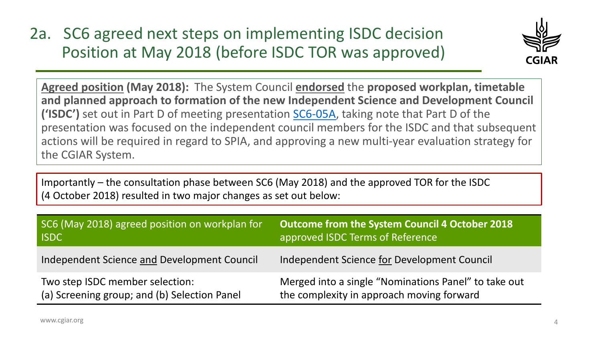2a. SC6 agreed next steps on implementing ISDC decision Position at May 2018 (before ISDC TOR was approved)



**Agreed position (May 2018):** The System Council **endorsed** the **proposed workplan, timetable and planned approach to formation of the new Independent Science and Development Council ('ISDC')** set out in Part D of meeting presentation [SC6-05A,](https://www.cgiar.org/wp/wp-content/uploads/2018/05/SC6-05A_SIMEC-Presentation_AdvisoryServices.pdf) taking note that Part D of the presentation was focused on the independent council members for the ISDC and that subsequent actions will be required in regard to SPIA, and approving a new multi-year evaluation strategy for the CGIAR System.

Importantly – the consultation phase between SC6 (May 2018) and the approved TOR for the ISDC (4 October 2018) resulted in two major changes as set out below:

| SC6 (May 2018) agreed position on workplan for | <b>Outcome from the System Council 4 October 2018</b> |
|------------------------------------------------|-------------------------------------------------------|
| <b>ISDC</b>                                    | approved ISDC Terms of Reference                      |
| Independent Science and Development Council    | Independent Science for Development Council           |
| Two step ISDC member selection:                | Merged into a single "Nominations Panel" to take out  |
| (a) Screening group; and (b) Selection Panel   | the complexity in approach moving forward             |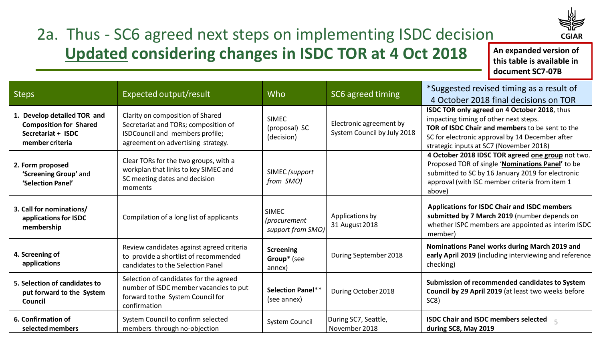

# 2a. Thus - SC6 agreed next steps on implementing ISDC decision **Updated considering changes in ISDC TOR at 4 Oct 2018**

**An expanded version of this table is available in document SC7-07B**

| <b>Steps</b>                                                                                          | Expected output/result                                                                                                                            | Who                                               | SC6 agreed timing                                      | *Suggested revised timing as a result of<br>4 October 2018 final decisions on TOR                                                                                                                                                      |
|-------------------------------------------------------------------------------------------------------|---------------------------------------------------------------------------------------------------------------------------------------------------|---------------------------------------------------|--------------------------------------------------------|----------------------------------------------------------------------------------------------------------------------------------------------------------------------------------------------------------------------------------------|
| 1. Develop detailed TOR and<br><b>Composition for Shared</b><br>Secretariat + ISDC<br>member criteria | Clarity on composition of Shared<br>Secretariat and TORs; composition of<br>ISDCouncil and members profile;<br>agreement on advertising strategy. | <b>SIMEC</b><br>(proposal) SC<br>(decision)       | Electronic agreement by<br>System Council by July 2018 | ISDC TOR only agreed on 4 October 2018, thus<br>impacting timing of other next steps.<br>TOR of ISDC Chair and members to be sent to the<br>SC for electronic approval by 14 December after<br>strategic inputs at SC7 (November 2018) |
| 2. Form proposed<br>'Screening Group' and<br>'Selection Panel'                                        | Clear TORs for the two groups, with a<br>workplan that links to key SIMEC and<br>SC meeting dates and decision<br>moments                         | SIMEC (support<br>from SMO)                       |                                                        | 4 October 2018 IDSC TOR agreed one group not two.<br>Proposed TOR of single 'Nominations Panel' to be<br>submitted to SC by 16 January 2019 for electronic<br>approval (with ISC member criteria from item 1<br>above)                 |
| 3. Call for nominations/<br>applications for ISDC<br>membership                                       | Compilation of a long list of applicants                                                                                                          | <b>SIMEC</b><br>(procurement<br>support from SMO) | Applications by<br>31 August 2018                      | <b>Applications for ISDC Chair and ISDC members</b><br>submitted by 7 March 2019 (number depends on<br>whether ISPC members are appointed as interim ISDC<br>member)                                                                   |
| 4. Screening of<br>applications                                                                       | Review candidates against agreed criteria<br>to provide a shortlist of recommended<br>candidates to the Selection Panel                           | <b>Screening</b><br>Group* (see<br>annex)         | During September 2018                                  | Nominations Panel works during March 2019 and<br>early April 2019 (including interviewing and reference<br>checking)                                                                                                                   |
| 5. Selection of candidates to<br>put forward to the System<br>Council                                 | Selection of candidates for the agreed<br>number of ISDC member vacancies to put<br>forward to the System Council for<br>confirmation             | <b>Selection Panel**</b><br>(see annex)           | During October 2018                                    | Submission of recommended candidates to System<br>Council by 29 April 2019 (at least two weeks before<br>SC8)                                                                                                                          |
| 6. Confirmation of<br>selected members                                                                | System Council to confirm selected<br>members through no-objection                                                                                | System Council                                    | During SC7, Seattle,<br>November 2018                  | <b>ISDC Chair and ISDC members selected</b><br>$\overline{5}$<br>during SC8, May 2019                                                                                                                                                  |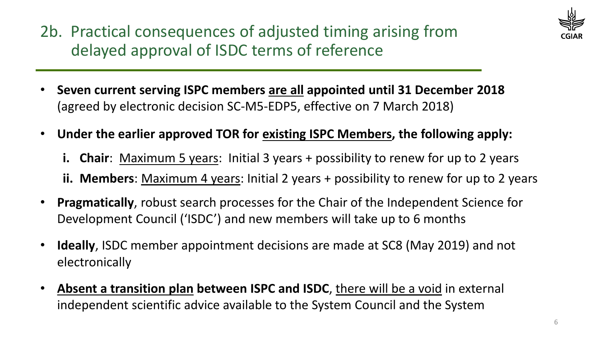2b. Practical consequences of adjusted timing arising from delayed approval of ISDC terms of reference



- **Seven current serving ISPC members are all appointed until 31 December 2018**  (agreed by electronic decision SC-M5-EDP5, effective on 7 March 2018)
- **Under the earlier approved TOR for existing ISPC Members, the following apply:**
	- **i. Chair**: Maximum 5 years: Initial 3 years + possibility to renew for up to 2 years
	- **ii. Members**: Maximum 4 years: Initial 2 years + possibility to renew for up to 2 years
- **Pragmatically**, robust search processes for the Chair of the Independent Science for Development Council ('ISDC') and new members will take up to 6 months
- **Ideally**, ISDC member appointment decisions are made at SC8 (May 2019) and not electronically
- **Absent a transition plan between ISPC and ISDC**, there will be a void in external independent scientific advice available to the System Council and the System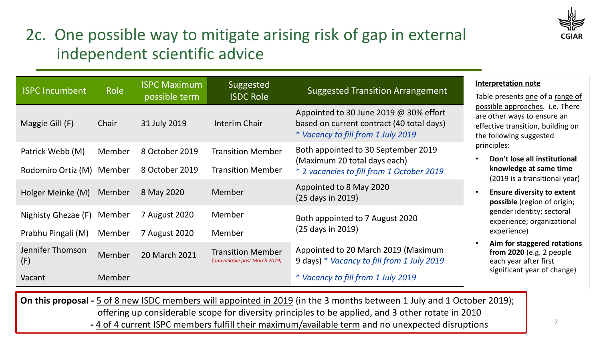

# 2c. One possible way to mitigate arising risk of gap in external independent scientific advice

| <b>ISPC Incumbent</b>                                                                                                | Role   | <b>ISPC Maximum</b><br>possible term | Suggested<br><b>ISDC Role</b>                             | <b>Suggested Transition Arrangement</b>                                                                                   | <b>Interpretation note</b><br>Table presents one of a range of                                                                 |  |
|----------------------------------------------------------------------------------------------------------------------|--------|--------------------------------------|-----------------------------------------------------------|---------------------------------------------------------------------------------------------------------------------------|--------------------------------------------------------------------------------------------------------------------------------|--|
| Maggie Gill (F)                                                                                                      | Chair  | 31 July 2019                         | Interim Chair                                             | Appointed to 30 June 2019 @ 30% effort<br>based on current contract (40 total days)<br>* Vacancy to fill from 1 July 2019 | possible approaches. i.e. There<br>are other ways to ensure an<br>effective transition, building on<br>the following suggested |  |
| Patrick Webb (M)                                                                                                     | Member | 8 October 2019                       | <b>Transition Member</b>                                  | Both appointed to 30 September 2019<br>(Maximum 20 total days each)                                                       | principles:<br>Don't lose all institutional                                                                                    |  |
| Rodomiro Ortiz (M) Member                                                                                            |        | 8 October 2019                       | <b>Transition Member</b>                                  | * 2 vacancies to fill from 1 October 2019                                                                                 | knowledge at same time<br>(2019 is a transitional year)                                                                        |  |
| Holger Meinke (M)                                                                                                    | Member | 8 May 2020                           | Member                                                    | Appointed to 8 May 2020<br>(25 days in 2019)                                                                              | <b>Ensure diversity to extent</b><br>possible (region of origin;                                                               |  |
| Nighisty Ghezae (F)                                                                                                  | Member | 7 August 2020                        | Member                                                    | Both appointed to 7 August 2020                                                                                           | gender identity; sectoral<br>experience; organizational                                                                        |  |
| Prabhu Pingali (M)                                                                                                   | Member | 7 August 2020                        | Member                                                    | (25 days in 2019)                                                                                                         | experience)                                                                                                                    |  |
| Jennifer Thomson<br>(F)                                                                                              | Member | 20 March 2021                        | <b>Transition Member</b><br>(unavailable post March 2019) | Appointed to 20 March 2019 (Maximum<br>9 days) * Vacancy to fill from 1 July 2019                                         | Aim for staggered rotations<br>from $2020$ (e.g. 2 people<br>each year after first                                             |  |
| Vacant                                                                                                               | Member |                                      |                                                           | * Vacancy to fill from 1 July 2019                                                                                        | significant year of change)                                                                                                    |  |
| On this proposal E of 8 now ICDC mombors will appointed in 2010 (in the 2 months between 1 luly and 1 Ostober 2010). |        |                                      |                                                           |                                                                                                                           |                                                                                                                                |  |

**On this proposal -** 5 of 8 new ISDC members will appointed in 2019 (in the 3 months between 1 July and 1 October 2019); offering up considerable scope for diversity principles to be applied, and 3 other rotate in 2010 **-** 4 of 4 current ISPC members fulfill their maximum/available term and no unexpected disruptions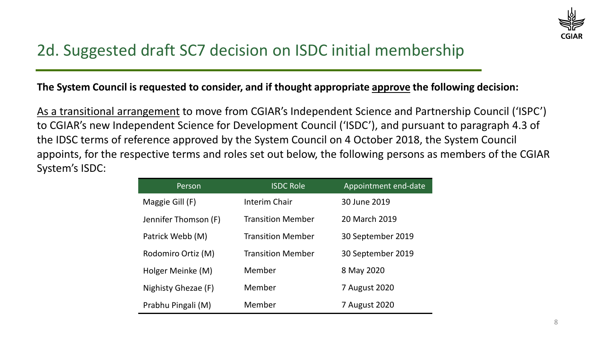

## 2d. Suggested draft SC7 decision on ISDC initial membership

#### **The System Council is requested to consider, and if thought appropriate approve the following decision:**

As a transitional arrangement to move from CGIAR's Independent Science and Partnership Council ('ISPC') to CGIAR's new Independent Science for Development Council ('ISDC'), and pursuant to paragraph 4.3 of the IDSC terms of reference approved by the System Council on 4 October 2018, the System Council appoints, for the respective terms and roles set out below, the following persons as members of the CGIAR System's ISDC:

| Person               | <b>ISDC Role</b>         | Appointment end-date |
|----------------------|--------------------------|----------------------|
| Maggie Gill (F)      | Interim Chair            | 30 June 2019         |
| Jennifer Thomson (F) | <b>Transition Member</b> | 20 March 2019        |
| Patrick Webb (M)     | <b>Transition Member</b> | 30 September 2019    |
| Rodomiro Ortiz (M)   | <b>Transition Member</b> | 30 September 2019    |
| Holger Meinke (M)    | Member                   | 8 May 2020           |
| Nighisty Ghezae (F)  | Member                   | 7 August 2020        |
| Prabhu Pingali (M)   | Member                   | 7 August 2020        |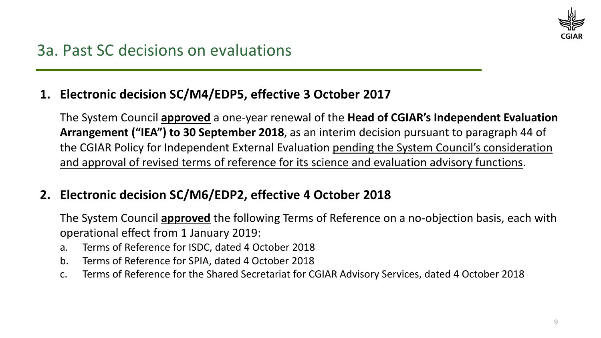

### **1. Electronic decision SC/M4/EDP5, effective 3 October 2017**

The System Council **approved** a one-year renewal of the **Head of CGIAR's Independent Evaluation Arrangement ("IEA") to 30 September 2018**, as an interim decision pursuant to paragraph 44 of the CGIAR Policy for Independent External Evaluation pending the System Council's consideration and approval of revised terms of reference for its science and evaluation advisory functions.

### **2. Electronic decision SC/M6/EDP2, effective 4 October 2018**

The System Council **approved** the following Terms of Reference on a no-objection basis, each with operational effect from 1 January 2019:

- a. Terms of Reference for ISDC, dated 4 October 2018
- b. Terms of Reference for SPIA, dated 4 October 2018
- c. Terms of Reference for the Shared Secretariat for CGIAR Advisory Services, dated 4 October 2018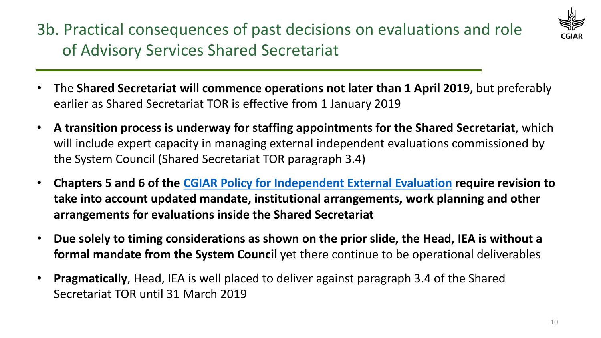3b. Practical consequences of past decisions on evaluations and role of Advisory Services Shared Secretariat



- The **Shared Secretariat will commence operations not later than 1 April 2019,** but preferably earlier as Shared Secretariat TOR is effective from 1 January 2019
- **A transition process is underway for staffing appointments for the Shared Secretariat**, which will include expert capacity in managing external independent evaluations commissioned by the System Council (Shared Secretariat TOR paragraph 3.4)
- **Chapters 5 and 6 of the CGIAR Policy for Independent External Evaluation require revision to take into account updated mandate, institutional arrangements, work planning and other arrangements for evaluations inside the Shared Secretariat**
- **Due solely to timing considerations as shown on the prior slide, the Head, IEA is without a formal mandate from the System Council** yet there continue to be operational deliverables
- **Pragmatically**, Head, IEA is well placed to deliver against paragraph 3.4 of the Shared Secretariat TOR until 31 March 2019